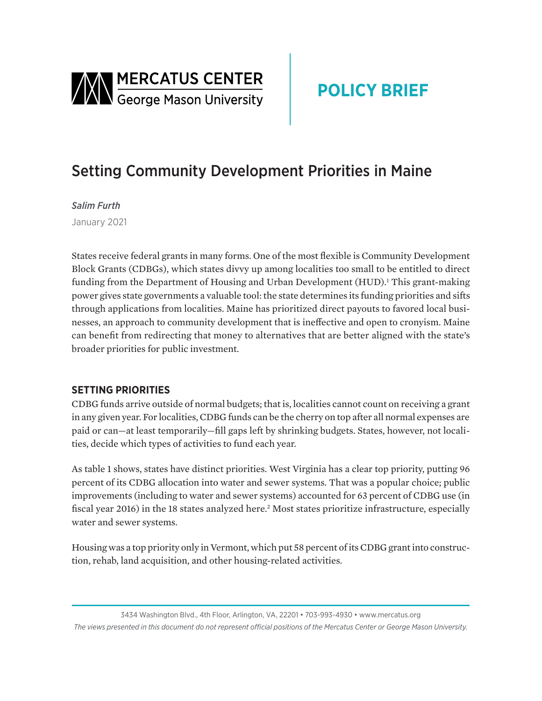

# **POLICY BRIEF**

## Setting Community Development Priorities in Maine

*Salim Furth*

January 2021

States receive federal grants in many forms. One of the most flexible is Community Development Block Grants (CDBGs), which states divvy up among localities too small to be entitled to direct funding from the Department of Housing and Urban Development (HUD).<sup>1</sup> This grant-making power gives state governments a valuable tool: the state determines its funding priorities and sifts through applications from localities. Maine has prioritized direct payouts to favored local businesses, an approach to community development that is ineffective and open to cronyism. Maine can benefit from redirecting that money to alternatives that are better aligned with the state's broader priorities for public investment.

## **SETTING PRIORITIES**

CDBG funds arrive outside of normal budgets; that is, localities cannot count on receiving a grant in any given year. For localities, CDBG funds can be the cherry on top after all normal expenses are paid or can—at least temporarily—fill gaps left by shrinking budgets. States, however, not localities, decide which types of activities to fund each year.

As table 1 shows, states have distinct priorities. West Virginia has a clear top priority, putting 96 percent of its CDBG allocation into water and sewer systems. That was a popular choice; public improvements (including to water and sewer systems) accounted for 63 percent of CDBG use (in fiscal year 2016) in the 18 states analyzed here.<sup>2</sup> Most states prioritize infrastructure, especially water and sewer systems.

Housing was a top priority only in Vermont, which put 58 percent of its CDBG grant into construction, rehab, land acquisition, and other housing-related activities.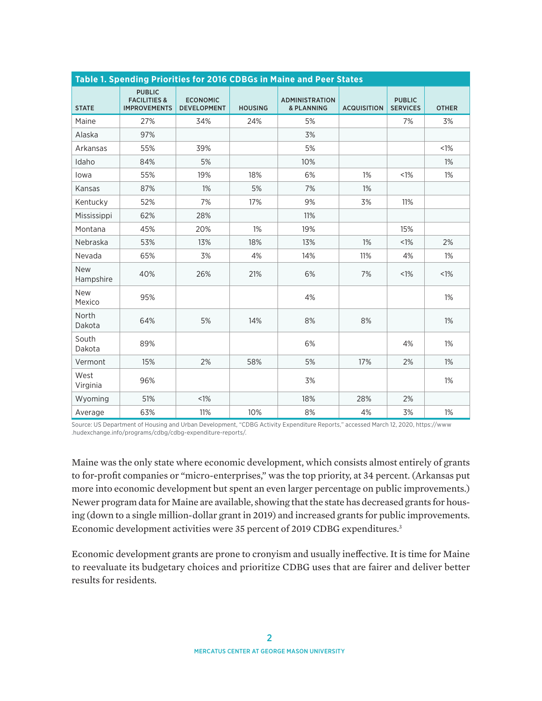| Table 1. Spending Priorities for 2016 CDBGs in Maine and Peer States |                                                                 |                                       |                |                                                |                    |                                  |              |
|----------------------------------------------------------------------|-----------------------------------------------------------------|---------------------------------------|----------------|------------------------------------------------|--------------------|----------------------------------|--------------|
| <b>STATE</b>                                                         | <b>PUBLIC</b><br><b>FACILITIES &amp;</b><br><b>IMPROVEMENTS</b> | <b>ECONOMIC</b><br><b>DEVELOPMENT</b> | <b>HOUSING</b> | <b>ADMINISTRATION</b><br><b>&amp; PLANNING</b> | <b>ACQUISITION</b> | <b>PUBLIC</b><br><b>SERVICES</b> | <b>OTHER</b> |
| Maine                                                                | 27%                                                             | 34%                                   | 24%            | 5%                                             |                    | 7%                               | 3%           |
| Alaska                                                               | 97%                                                             |                                       |                | 3%                                             |                    |                                  |              |
| Arkansas                                                             | 55%                                                             | 39%                                   |                | 5%                                             |                    |                                  | <1%          |
| Idaho                                                                | 84%                                                             | 5%                                    |                | 10%                                            |                    |                                  | 1%           |
| lowa                                                                 | 55%                                                             | 19%                                   | 18%            | 6%                                             | $1\%$              | $1\%$                            | $1\%$        |
| Kansas                                                               | 87%                                                             | $1\%$                                 | 5%             | 7%                                             | 1%                 |                                  |              |
| Kentucky                                                             | 52%                                                             | 7%                                    | 17%            | 9%                                             | 3%                 | 11%                              |              |
| Mississippi                                                          | 62%                                                             | 28%                                   |                | 11%                                            |                    |                                  |              |
| Montana                                                              | 45%                                                             | 20%                                   | 1%             | 19%                                            |                    | 15%                              |              |
| Nebraska                                                             | 53%                                                             | 13%                                   | 18%            | 13%                                            | 1%                 | <1%                              | 2%           |
| Nevada                                                               | 65%                                                             | 3%                                    | 4%             | 14%                                            | 11%                | 4%                               | 1%           |
| New<br>Hampshire                                                     | 40%                                                             | 26%                                   | 21%            | 6%                                             | 7%                 | $1\%$                            | $< 1\%$      |
| <b>New</b><br>Mexico                                                 | 95%                                                             |                                       |                | 4%                                             |                    |                                  | $1\%$        |
| North<br>Dakota                                                      | 64%                                                             | 5%                                    | 14%            | 8%                                             | 8%                 |                                  | 1%           |
| South<br>Dakota                                                      | 89%                                                             |                                       |                | 6%                                             |                    | 4%                               | $1\%$        |
| Vermont                                                              | 15%                                                             | 2%                                    | 58%            | 5%                                             | 17%                | 2%                               | $1\%$        |
| West<br>Virginia                                                     | 96%                                                             |                                       |                | 3%                                             |                    |                                  | 1%           |
| Wyoming                                                              | 51%                                                             | $< 1\%$                               |                | 18%                                            | 28%                | 2%                               |              |
| Average                                                              | 63%                                                             | 11%                                   | 10%            | 8%                                             | 4%                 | 3%                               | $1\%$        |

Source: US Department of Housing and Urban Development, "CDBG Activity Expenditure Reports," accessed March 12, 2020, https://www .hudexchange.info/programs/cdbg/cdbg-expenditure-reports/.

Maine was the only state where economic development, which consists almost entirely of grants to for-profit companies or "micro-enterprises," was the top priority, at 34 percent. (Arkansas put more into economic development but spent an even larger percentage on public improvements.) Newer program data for Maine are available, showing that the state has decreased grants for housing (down to a single million-dollar grant in 2019) and increased grants for public improvements. Economic development activities were 35 percent of 2019 CDBG expenditures.<sup>3</sup>

Economic development grants are prone to cronyism and usually ineffective. It is time for Maine to reevaluate its budgetary choices and prioritize CDBG uses that are fairer and deliver better results for residents.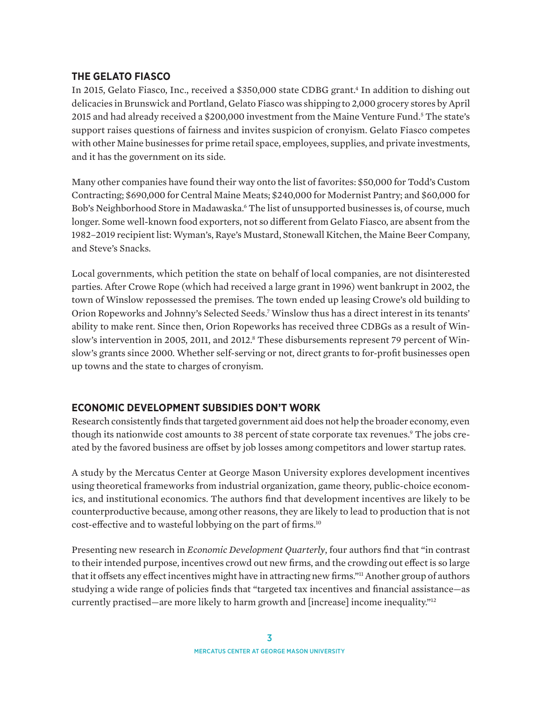#### **THE GELATO FIASCO**

In 2015, Gelato Fiasco, Inc., received a \$350,000 state CDBG grant.<sup>4</sup> In addition to dishing out delicacies in Brunswick and Portland, Gelato Fiasco was shipping to 2,000 grocery stores by April 2015 and had already received a \$200,000 investment from the Maine Venture Fund.<sup>5</sup> The state's support raises questions of fairness and invites suspicion of cronyism. Gelato Fiasco competes with other Maine businesses for prime retail space, employees, supplies, and private investments, and it has the government on its side.

Many other companies have found their way onto the list of favorites: \$50,000 for Todd's Custom Contracting; \$690,000 for Central Maine Meats; \$240,000 for Modernist Pantry; and \$60,000 for Bob's Neighborhood Store in Madawaska.<sup>6</sup> The list of unsupported businesses is, of course, much longer. Some well-known food exporters, not so different from Gelato Fiasco, are absent from the 1982–2019 recipient list: Wyman's, Raye's Mustard, Stonewall Kitchen, the Maine Beer Company, and Steve's Snacks.

Local governments, which petition the state on behalf of local companies, are not disinterested parties. After Crowe Rope (which had received a large grant in 1996) went bankrupt in 2002, the town of Winslow repossessed the premises. The town ended up leasing Crowe's old building to Orion Ropeworks and Johnny's Selected Seeds.7 Winslow thus has a direct interest in its tenants' ability to make rent. Since then, Orion Ropeworks has received three CDBGs as a result of Winslow's intervention in 2005, 2011, and 2012.<sup>8</sup> These disbursements represent 79 percent of Winslow's grants since 2000. Whether self-serving or not, direct grants to for-profit businesses open up towns and the state to charges of cronyism.

## **ECONOMIC DEVELOPMENT SUBSIDIES DON'T WORK**

Research consistently finds that targeted government aid does not help the broader economy, even though its nationwide cost amounts to 38 percent of state corporate tax revenues.<sup>9</sup> The jobs created by the favored business are offset by job losses among competitors and lower startup rates.

A study by the Mercatus Center at George Mason University explores development incentives using theoretical frameworks from industrial organization, game theory, public-choice economics, and institutional economics. The authors find that development incentives are likely to be counterproductive because, among other reasons, they are likely to lead to production that is not cost-effective and to wasteful lobbying on the part of firms.10

Presenting new research in *Economic Development Quarterly*, four authors find that "in contrast to their intended purpose, incentives crowd out new firms, and the crowding out effect is so large that it offsets any effect incentives might have in attracting new firms."11 Another group of authors studying a wide range of policies finds that "targeted tax incentives and financial assistance—as currently practised—are more likely to harm growth and [increase] income inequality."12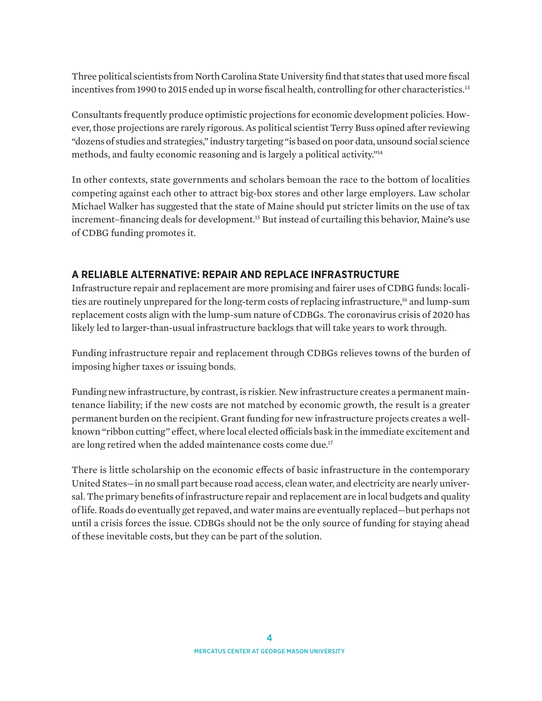Three political scientists from North Carolina State University find that states that used more fiscal incentives from 1990 to 2015 ended up in worse fiscal health, controlling for other characteristics.<sup>13</sup>

Consultants frequently produce optimistic projections for economic development policies. However, those projections are rarely rigorous. As political scientist Terry Buss opined after reviewing "dozens of studies and strategies," industry targeting "is based on poor data, unsound social science methods, and faulty economic reasoning and is largely a political activity."14

In other contexts, state governments and scholars bemoan the race to the bottom of localities competing against each other to attract big-box stores and other large employers. Law scholar Michael Walker has suggested that the state of Maine should put stricter limits on the use of tax increment–financing deals for development.15 But instead of curtailing this behavior, Maine's use of CDBG funding promotes it.

## **A RELIABLE ALTERNATIVE: REPAIR AND REPLACE INFRASTRUCTURE**

Infrastructure repair and replacement are more promising and fairer uses of CDBG funds: localities are routinely unprepared for the long-term costs of replacing infrastructure,<sup>16</sup> and lump-sum replacement costs align with the lump-sum nature of CDBGs. The coronavirus crisis of 2020 has likely led to larger-than-usual infrastructure backlogs that will take years to work through.

Funding infrastructure repair and replacement through CDBGs relieves towns of the burden of imposing higher taxes or issuing bonds.

Funding new infrastructure, by contrast, is riskier. New infrastructure creates a permanent maintenance liability; if the new costs are not matched by economic growth, the result is a greater permanent burden on the recipient. Grant funding for new infrastructure projects creates a wellknown "ribbon cutting" effect, where local elected officials bask in the immediate excitement and are long retired when the added maintenance costs come due.<sup>17</sup>

There is little scholarship on the economic effects of basic infrastructure in the contemporary United States—in no small part because road access, clean water, and electricity are nearly universal. The primary benefits of infrastructure repair and replacement are in local budgets and quality of life. Roads do eventually get repaved, and water mains are eventually replaced—but perhaps not until a crisis forces the issue. CDBGs should not be the only source of funding for staying ahead of these inevitable costs, but they can be part of the solution.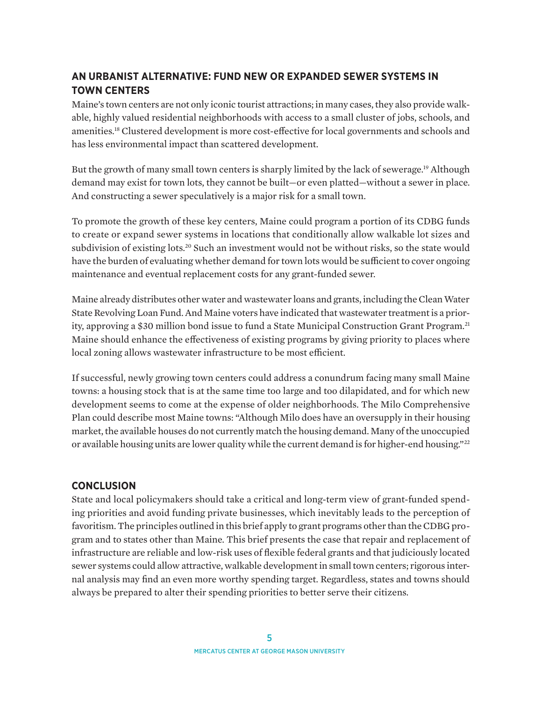## **AN URBANIST ALTERNATIVE: FUND NEW OR EXPANDED SEWER SYSTEMS IN TOWN CENTERS**

Maine's town centers are not only iconic tourist attractions; in many cases, they also provide walkable, highly valued residential neighborhoods with access to a small cluster of jobs, schools, and amenities.18 Clustered development is more cost-effective for local governments and schools and has less environmental impact than scattered development.

But the growth of many small town centers is sharply limited by the lack of sewerage.19 Although demand may exist for town lots, they cannot be built—or even platted—without a sewer in place. And constructing a sewer speculatively is a major risk for a small town.

To promote the growth of these key centers, Maine could program a portion of its CDBG funds to create or expand sewer systems in locations that conditionally allow walkable lot sizes and subdivision of existing lots.<sup>20</sup> Such an investment would not be without risks, so the state would have the burden of evaluating whether demand for town lots would be sufficient to cover ongoing maintenance and eventual replacement costs for any grant-funded sewer.

Maine already distributes other water and wastewater loans and grants, including the Clean Water State Revolving Loan Fund. And Maine voters have indicated that wastewater treatment is a priority, approving a \$30 million bond issue to fund a State Municipal Construction Grant Program.<sup>21</sup> Maine should enhance the effectiveness of existing programs by giving priority to places where local zoning allows wastewater infrastructure to be most efficient.

If successful, newly growing town centers could address a conundrum facing many small Maine towns: a housing stock that is at the same time too large and too dilapidated, and for which new development seems to come at the expense of older neighborhoods. The Milo Comprehensive Plan could describe most Maine towns: "Although Milo does have an oversupply in their housing market, the available houses do not currently match the housing demand. Many of the unoccupied or available housing units are lower quality while the current demand is for higher-end housing."<sup>22</sup>

#### **CONCLUSION**

State and local policymakers should take a critical and long-term view of grant-funded spending priorities and avoid funding private businesses, which inevitably leads to the perception of favoritism. The principles outlined in this brief apply to grant programs other than the CDBG program and to states other than Maine. This brief presents the case that repair and replacement of infrastructure are reliable and low-risk uses of flexible federal grants and that judiciously located sewer systems could allow attractive, walkable development in small town centers; rigorous internal analysis may find an even more worthy spending target. Regardless, states and towns should always be prepared to alter their spending priorities to better serve their citizens.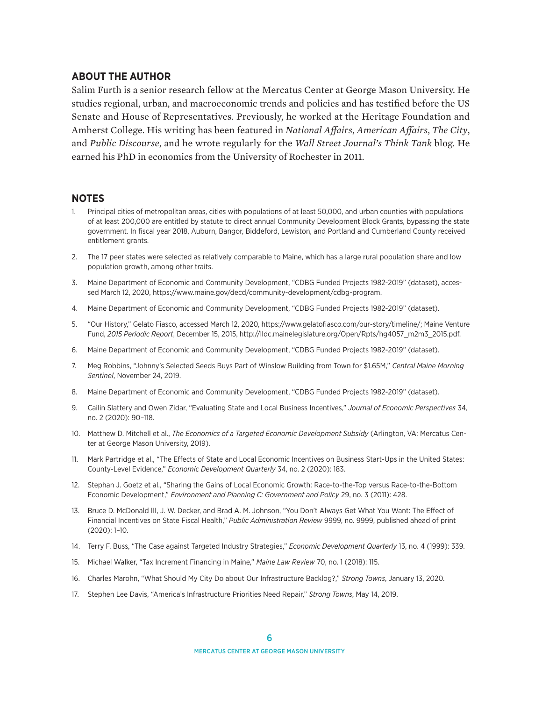#### **ABOUT THE AUTHOR**

Salim Furth is a senior research fellow at the Mercatus Center at George Mason University. He studies regional, urban, and macroeconomic trends and policies and has testified before the US Senate and House of Representatives. Previously, he worked at the Heritage Foundation and Amherst College. His writing has been featured in *National Affairs*, *American Affairs*, *The City*, and *Public Discourse*, and he wrote regularly for the *Wall Street Journal's Think Tank* blog. He earned his PhD in economics from the University of Rochester in 2011.

#### **NOTES**

- 1. Principal cities of metropolitan areas, cities with populations of at least 50,000, and urban counties with populations of at least 200,000 are entitled by statute to direct annual Community Development Block Grants, bypassing the state government. In fiscal year 2018, Auburn, Bangor, Biddeford, Lewiston, and Portland and Cumberland County received entitlement grants.
- 2. The 17 peer states were selected as relatively comparable to Maine, which has a large rural population share and low population growth, among other traits.
- 3. Maine Department of Economic and Community Development, "CDBG Funded Projects 1982-2019" (dataset), accessed March 12, 2020, [https://www.maine.gov/decd/community-development/cdbg-program.](https://www.maine.gov/decd/community-development/cdbg-program)
- 4. Maine Department of Economic and Community Development, "CDBG Funded Projects 1982-2019" (dataset).
- 5. "Our History," Gelato Fiasco, accessed March 12, 2020, https://www.gelatofiasco.com/our-story/timeline/; Maine Venture Fund, *2015 Periodic Report*, December 15, 2015, [http://lldc.mainelegislature.org/Open/Rpts/hg4057\\_m2m3\\_2015.pdf](http://lldc.mainelegislature.org/Open/Rpts/hg4057_m2m3_2015.pdf).
- 6. Maine Department of Economic and Community Development, "CDBG Funded Projects 1982-2019" (dataset).
- 7. Meg Robbins, "Johnny's Selected Seeds Buys Part of Winslow Building from Town for \$1.65M," *Central Maine Morning Sentinel*, November 24, 2019.
- 8. Maine Department of Economic and Community Development, "CDBG Funded Projects 1982-2019" (dataset).
- 9. Cailin Slattery and Owen Zidar, "Evaluating State and Local Business Incentives," *Journal of Economic Perspectives* 34, no. 2 (2020): 90–118.
- 10. Matthew D. Mitchell et al., *The Economics of a Targeted Economic Development Subsidy* (Arlington, VA: Mercatus Center at George Mason University, 2019).
- 11. Mark Partridge et al., "The Effects of State and Local Economic Incentives on Business Start-Ups in the United States: County-Level Evidence," *Economic Development Quarterly* 34, no. 2 (2020): 183.
- 12. Stephan J. Goetz et al., "Sharing the Gains of Local Economic Growth: Race-to-the-Top versus Race-to-the-Bottom Economic Development," *Environment and Planning C: Government and Policy* 29, no. 3 (2011): 428.
- 13. Bruce D. McDonald III, J. W. Decker, and Brad A. M. Johnson, "You Don't Always Get What You Want: The Effect of Financial Incentives on State Fiscal Health," *Public Administration Review* 9999, no. 9999, published ahead of print (2020): 1–10.
- 14. Terry F. Buss, "The Case against Targeted Industry Strategies," *Economic Development Quarterly* 13, no. 4 (1999): 339.
- 15. Michael Walker, "Tax Increment Financing in Maine," *Maine Law Review* 70, no. 1 (2018): 115.
- 16. Charles Marohn, "What Should My City Do about Our Infrastructure Backlog?," *Strong Towns*, January 13, 2020.
- 17. Stephen Lee Davis, "America's Infrastructure Priorities Need Repair," *Strong Towns*, May 14, 2019.